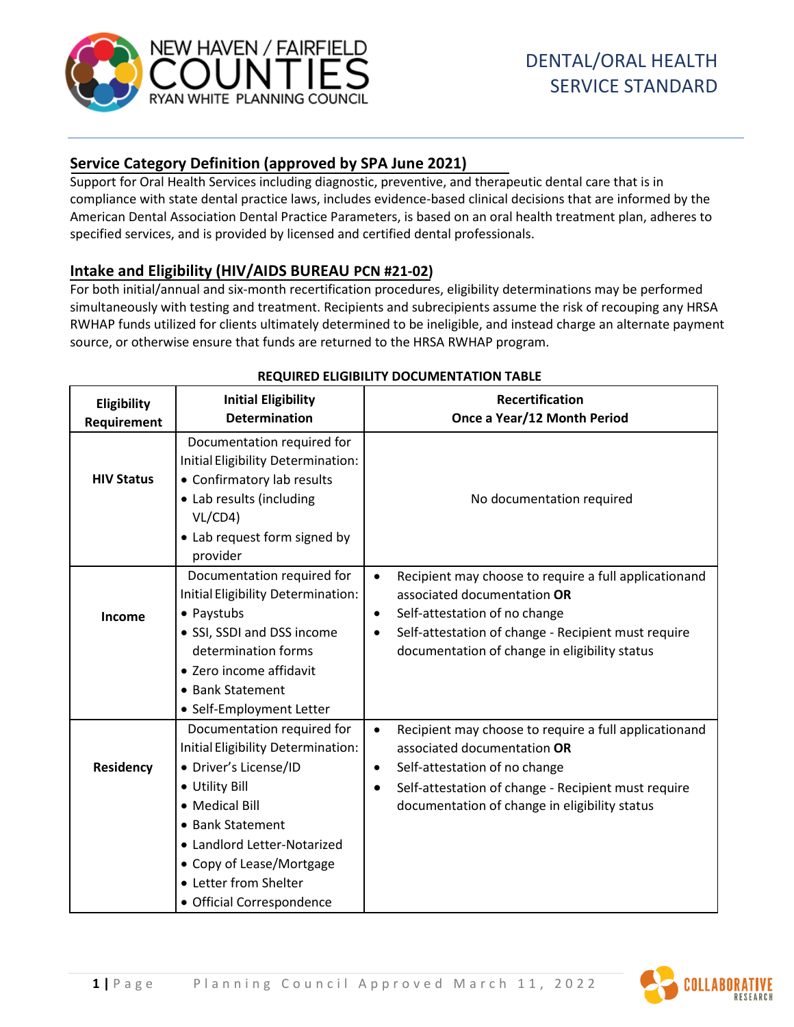

# **Service Category Definition (approved by SPA June 2021)**

Support for Oral Health Services including diagnostic, preventive, and therapeutic dental care that is in compliance with state dental practice laws, includes evidence-based clinical decisions that are informed by the American Dental Association Dental Practice Parameters, is based on an oral health treatment plan, adheres to specified services, and is provided by licensed and certified dental professionals.

## **Intake and Eligibility (HIV/AIDS BUREAU PCN #21-02)**

For both initial/annual and six-month recertification procedures, eligibility determinations may be performed simultaneously with testing and treatment. Recipients and subrecipients assume the risk of recouping any HRSA RWHAP funds utilized for clients ultimately determined to be ineligible, and instead charge an alternate payment source, or otherwise ensure that funds are returned to the HRSA RWHAP program.

| Eligibility<br>Requirement | <b>Initial Eligibility</b><br><b>Determination</b>                                                                                                                                                                                                                 | <b>Recertification</b><br>Once a Year/12 Month Period                                                                                                                                                                                                                |
|----------------------------|--------------------------------------------------------------------------------------------------------------------------------------------------------------------------------------------------------------------------------------------------------------------|----------------------------------------------------------------------------------------------------------------------------------------------------------------------------------------------------------------------------------------------------------------------|
| <b>HIV Status</b>          | Documentation required for<br>Initial Eligibility Determination:<br>• Confirmatory lab results<br>• Lab results (including<br>VL/CD4<br>• Lab request form signed by<br>provider                                                                                   | No documentation required                                                                                                                                                                                                                                            |
| Income                     | Documentation required for<br>Initial Eligibility Determination:<br>• Paystubs<br>• SSI, SSDI and DSS income<br>determination forms<br>• Zero income affidavit<br>• Bank Statement<br>• Self-Employment Letter                                                     | Recipient may choose to require a full applicationand<br>$\bullet$<br>associated documentation OR<br>Self-attestation of no change<br>$\bullet$<br>Self-attestation of change - Recipient must require<br>$\bullet$<br>documentation of change in eligibility status |
| <b>Residency</b>           | Documentation required for<br>Initial Eligibility Determination:<br>• Driver's License/ID<br>• Utility Bill<br>• Medical Bill<br>• Bank Statement<br>• Landlord Letter-Notarized<br>• Copy of Lease/Mortgage<br>• Letter from Shelter<br>• Official Correspondence | Recipient may choose to require a full applicationand<br>$\bullet$<br>associated documentation OR<br>Self-attestation of no change<br>٠<br>Self-attestation of change - Recipient must require<br>$\bullet$<br>documentation of change in eligibility status         |

### **REQUIRED ELIGIBILITY DOCUMENTATION TABLE**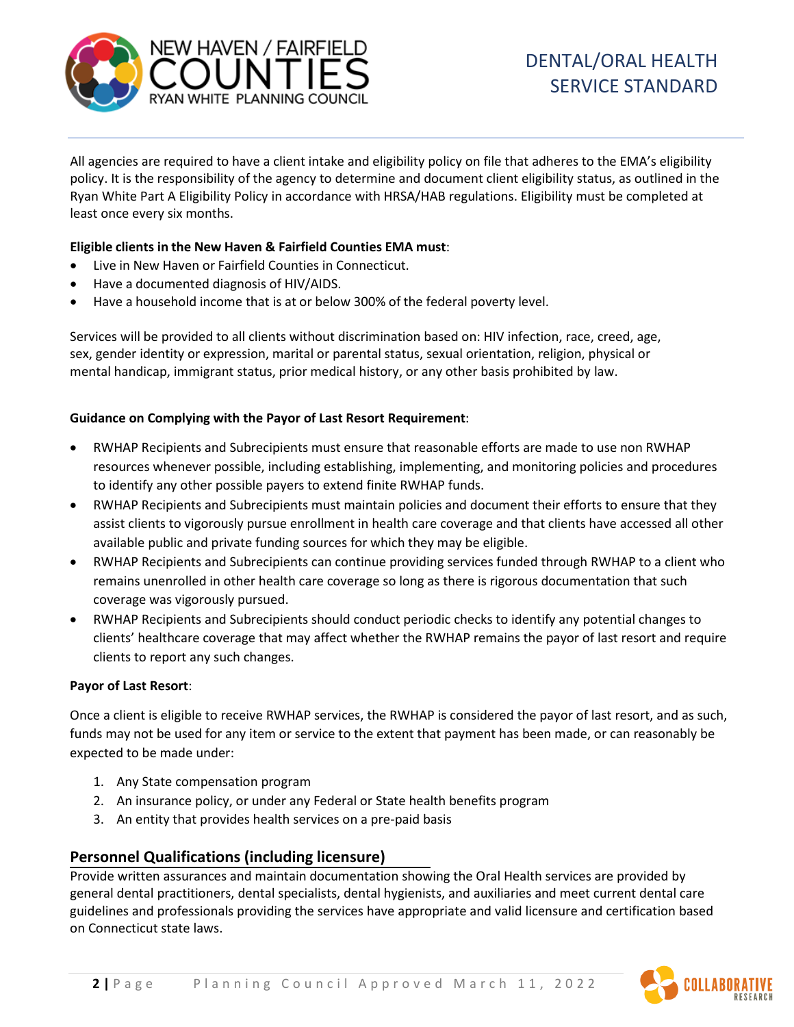

All agencies are required to have a client intake and eligibility policy on file that adheres to the EMA's eligibility policy. It is the responsibility of the agency to determine and document client eligibility status, as outlined in the Ryan White Part A Eligibility Policy in accordance with HRSA/HAB regulations. Eligibility must be completed at least once every six months.

#### **Eligible clients in the New Haven & Fairfield Counties EMA must**:

- Live in New Haven or Fairfield Counties in Connecticut.
- Have a documented diagnosis of HIV/AIDS.
- Have a household income that is at or below 300% of the federal poverty level.

Services will be provided to all clients without discrimination based on: HIV infection, race, creed, age, sex, gender identity or expression, marital or parental status, sexual orientation, religion, physical or mental handicap, immigrant status, prior medical history, or any other basis prohibited by law.

#### **Guidance on Complying with the Payor of Last Resort Requirement**:

- RWHAP Recipients and Subrecipients must ensure that reasonable efforts are made to use non RWHAP resources whenever possible, including establishing, implementing, and monitoring policies and procedures to identify any other possible payers to extend finite RWHAP funds.
- RWHAP Recipients and Subrecipients must maintain policies and document their efforts to ensure that they assist clients to vigorously pursue enrollment in health care coverage and that clients have accessed all other available public and private funding sources for which they may be eligible.
- RWHAP Recipients and Subrecipients can continue providing services funded through RWHAP to a client who remains unenrolled in other health care coverage so long as there is rigorous documentation that such coverage was vigorously pursued.
- RWHAP Recipients and Subrecipients should conduct periodic checks to identify any potential changes to clients' healthcare coverage that may affect whether the RWHAP remains the payor of last resort and require clients to report any such changes.

#### **Payor of Last Resort**:

Once a client is eligible to receive RWHAP services, the RWHAP is considered the payor of last resort, and as such, funds may not be used for any item or service to the extent that payment has been made, or can reasonably be expected to be made under:

- 1. Any State compensation program
- 2. An insurance policy, or under any Federal or State health benefits program
- 3. An entity that provides health services on a pre-paid basis

### **Personnel Qualifications (including licensure)**

Provide written assurances and maintain documentation showing the Oral Health services are provided by general dental practitioners, dental specialists, dental hygienists, and auxiliaries and meet current dental care guidelines and professionals providing the services have appropriate and valid licensure and certification based on Connecticut state laws.

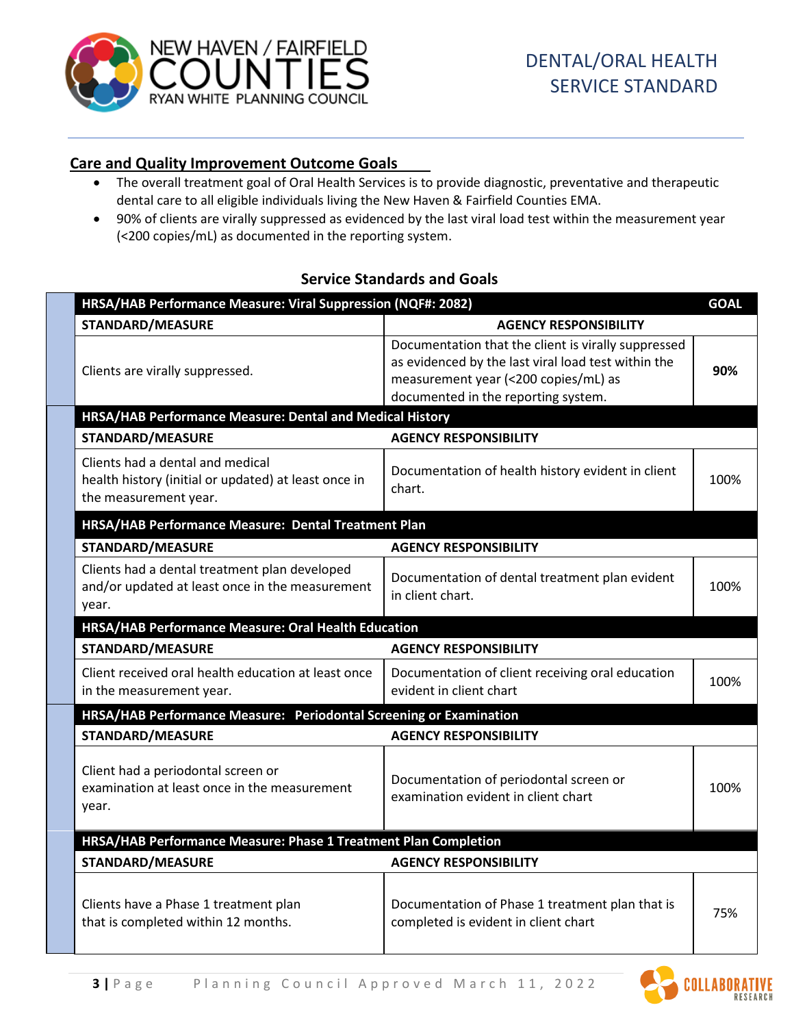

## **Care and Quality Improvement Outcome Goals**

- The overall treatment goal of Oral Health Services is to provide diagnostic, preventative and therapeutic dental care to all eligible individuals living the New Haven & Fairfield Counties EMA.
- 90% of clients are virally suppressed as evidenced by the last viral load test within the measurement year (<200 copies/mL) as documented in the reporting system.

## **Service Standards and Goals**

| HRSA/HAB Performance Measure: Viral Suppression (NQF#: 2082)                                                      |                                                                                                                                                                                           |      |  |  |
|-------------------------------------------------------------------------------------------------------------------|-------------------------------------------------------------------------------------------------------------------------------------------------------------------------------------------|------|--|--|
| <b>STANDARD/MEASURE</b>                                                                                           | <b>AGENCY RESPONSIBILITY</b>                                                                                                                                                              |      |  |  |
| Clients are virally suppressed.                                                                                   | Documentation that the client is virally suppressed<br>as evidenced by the last viral load test within the<br>measurement year (<200 copies/mL) as<br>documented in the reporting system. | 90%  |  |  |
| HRSA/HAB Performance Measure: Dental and Medical History                                                          |                                                                                                                                                                                           |      |  |  |
| <b>STANDARD/MEASURE</b>                                                                                           | <b>AGENCY RESPONSIBILITY</b>                                                                                                                                                              |      |  |  |
| Clients had a dental and medical<br>health history (initial or updated) at least once in<br>the measurement year. | Documentation of health history evident in client<br>chart.                                                                                                                               | 100% |  |  |
| HRSA/HAB Performance Measure: Dental Treatment Plan                                                               |                                                                                                                                                                                           |      |  |  |
| <b>STANDARD/MEASURE</b>                                                                                           | <b>AGENCY RESPONSIBILITY</b>                                                                                                                                                              |      |  |  |
| Clients had a dental treatment plan developed<br>and/or updated at least once in the measurement<br>year.         | Documentation of dental treatment plan evident<br>in client chart.                                                                                                                        | 100% |  |  |
| HRSA/HAB Performance Measure: Oral Health Education                                                               |                                                                                                                                                                                           |      |  |  |
| <b>STANDARD/MEASURE</b>                                                                                           | <b>AGENCY RESPONSIBILITY</b>                                                                                                                                                              |      |  |  |
| Client received oral health education at least once<br>in the measurement year.                                   | Documentation of client receiving oral education<br>evident in client chart                                                                                                               | 100% |  |  |
| HRSA/HAB Performance Measure: Periodontal Screening or Examination                                                |                                                                                                                                                                                           |      |  |  |
| <b>STANDARD/MEASURE</b>                                                                                           | <b>AGENCY RESPONSIBILITY</b>                                                                                                                                                              |      |  |  |
| Client had a periodontal screen or<br>examination at least once in the measurement<br>year.                       | Documentation of periodontal screen or<br>examination evident in client chart                                                                                                             | 100% |  |  |
| HRSA/HAB Performance Measure: Phase 1 Treatment Plan Completion                                                   |                                                                                                                                                                                           |      |  |  |
| <b>STANDARD/MEASURE</b>                                                                                           | <b>AGENCY RESPONSIBILITY</b>                                                                                                                                                              |      |  |  |
| Clients have a Phase 1 treatment plan<br>that is completed within 12 months.                                      | Documentation of Phase 1 treatment plan that is<br>completed is evident in client chart                                                                                                   | 75%  |  |  |
|                                                                                                                   |                                                                                                                                                                                           |      |  |  |